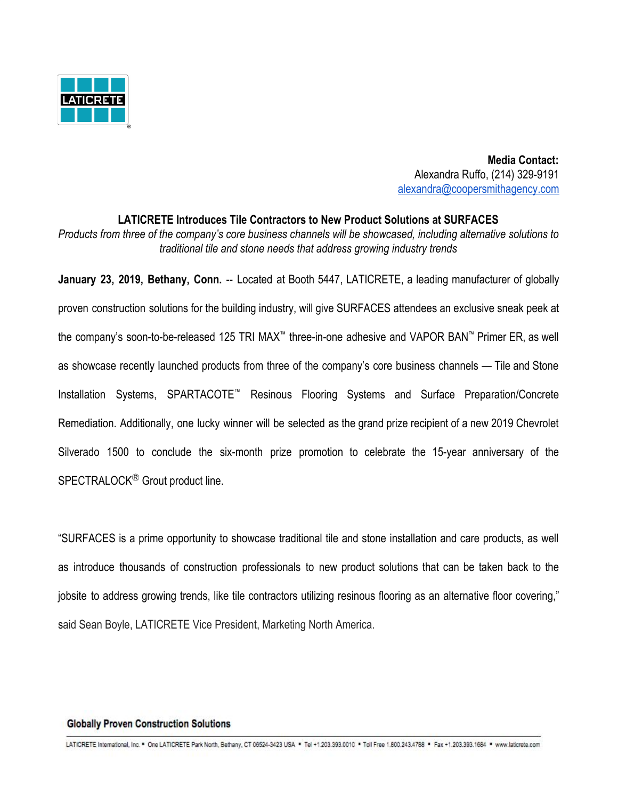

 **Media Contact:** Alexandra Ruffo, (214) 329-9191 [alexandra@coopersmithagency.com](mailto:alexandra@coopersmithagency.com)

# **LATICRETE Introduces Tile Contractors to New Product Solutions at SURFACES** *Products from three of the company's core business channels will be showcased, including alternative solutions to traditional tile and stone needs that address growing industry trends*

**January 23, 2019, Bethany, Conn.** -- Located at Booth 5447, LATICRETE, a leading manufacturer of globally proven construction solutions for the building industry, will give SURFACES attendees an exclusive sneak peek at the company's soon-to-be-released 125 TRI MAX™ three-in-one adhesive and VAPOR BAN™ Primer ER, as well as showcase recently launched products from three of the company's core business channels — Tile and Stone Installation Systems, SPARTACOTE™ Resinous Flooring Systems and Surface Preparation/Concrete Remediation. Additionally, one lucky winner will be selected as the grand prize recipient of a new 2019 Chevrolet Silverado 1500 to conclude the six-month prize promotion to celebrate the 15-year anniversary of the SPECTRALOCK<sup>®</sup> Grout product line.

"SURFACES is a prime opportunity to showcase traditional tile and stone installation and care products, as well as introduce thousands of construction professionals to new product solutions that can be taken back to the jobsite to address growing trends, like tile contractors utilizing resinous flooring as an alternative floor covering," said Sean Boyle, LATICRETE Vice President, Marketing North America.

#### **Globally Proven Construction Solutions**

LATICRETE International, Inc. \* One LATICRETE Park North, Bethany, CT 08524-3423 USA \* Tel +1.203.393.0010 \* Toll Free 1.800.243.4788 \* Fax +1.203.393.1684 \* www.laticrete.com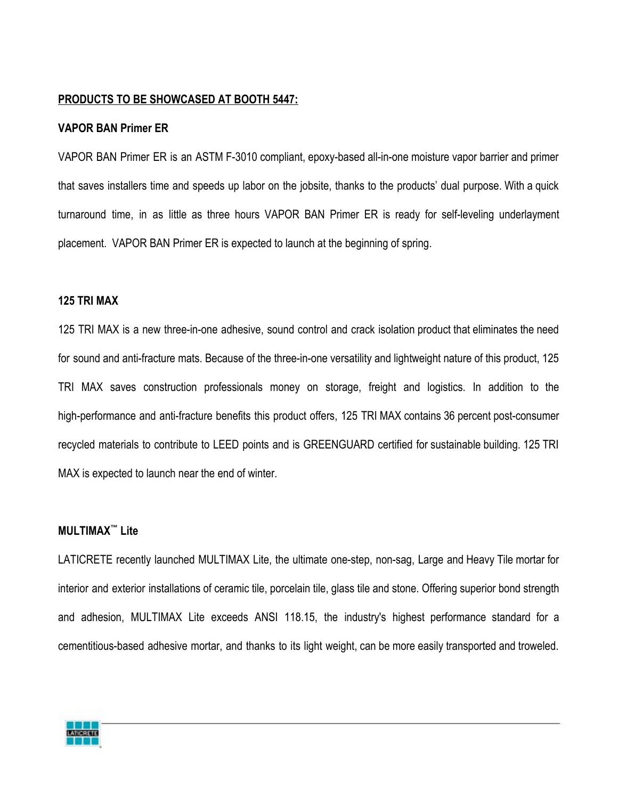#### **PRODUCTS TO BE SHOWCASED AT BOOTH 5447:**

#### **VAPOR BAN Primer ER**

VAPOR BAN Primer ER is an ASTM F-3010 compliant, epoxy-based all-in-one moisture vapor barrier and primer that saves installers time and speeds up labor on the jobsite, thanks to the products' dual purpose. With a quick turnaround time, in as little as three hours VAPOR BAN Primer ER is ready for self-leveling underlayment placement. VAPOR BAN Primer ER is expected to launch at the beginning of spring.

### **125 TRI MAX**

125 TRI MAX is a new three-in-one adhesive, sound control and crack isolation product that eliminates the need for sound and anti-fracture mats. Because of the three-in-one versatility and lightweight nature of this product, 125 TRI MAX saves construction professionals money on storage, freight and logistics. In addition to the high-performance and anti-fracture benefits this product offers, 125 TRI MAX contains 36 percent post-consumer recycled materials to contribute to LEED points and is GREENGUARD certified for sustainable building. 125 TRI MAX is expected to launch near the end of winter.

#### **MULTIMAX™ Lite**

LATICRETE recently launched MULTIMAX Lite, the ultimate one-step, non-sag, Large and Heavy Tile mortar for interior and exterior installations of ceramic tile, porcelain tile, glass tile and stone. Offering superior bond strength and adhesion, MULTIMAX Lite exceeds ANSI 118.15, the industry's highest performance standard for a cementitious-based adhesive mortar, and thanks to its light weight, can be more easily transported and troweled.

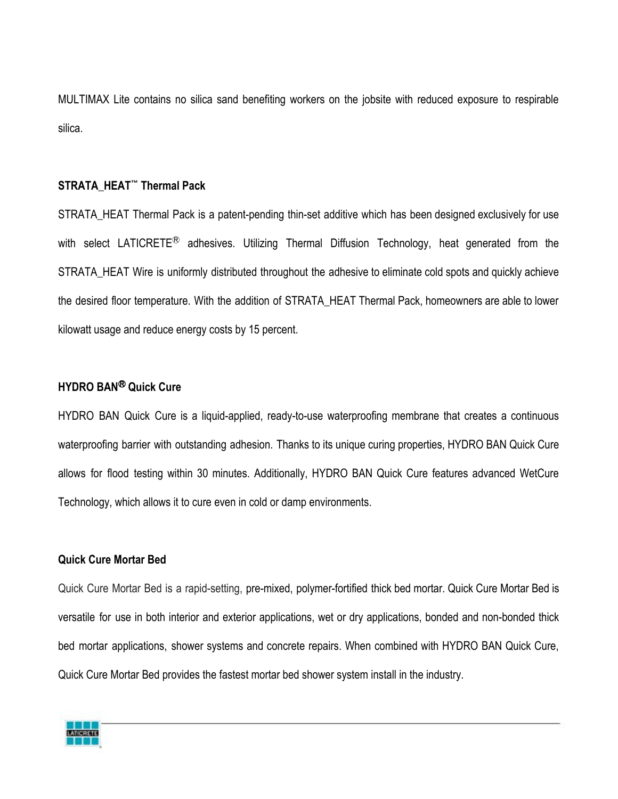MULTIMAX Lite contains no silica sand benefiting workers on the jobsite with reduced exposure to respirable silica.

## **STRATA\_HEAT™ Thermal Pack**

STRATA\_HEAT Thermal Pack is a patent-pending thin-set additive which has been designed exclusively for use with select LATICRETE<sup>®</sup> adhesives. Utilizing Thermal Diffusion Technology, heat generated from the STRATA\_HEAT Wire is uniformly distributed throughout the adhesive to eliminate cold spots and quickly achieve the desired floor temperature. With the addition of STRATA\_HEAT Thermal Pack, homeowners are able to lower kilowatt usage and reduce energy costs by 15 percent.

## **HYDRO BAN**Ⓡ **Quick Cure**

HYDRO BAN Quick Cure is a liquid-applied, ready-to-use waterproofing membrane that creates a continuous waterproofing barrier with outstanding adhesion. Thanks to its unique curing properties, HYDRO BAN Quick Cure allows for flood testing within 30 minutes. Additionally, HYDRO BAN Quick Cure features advanced WetCure Technology, which allows it to cure even in cold or damp environments.

### **Quick Cure Mortar Bed**

Quick Cure Mortar Bed is a rapid-setting, pre-mixed, polymer-fortified thick bed mortar. Quick Cure Mortar Bed is versatile for use in both interior and exterior applications, wet or dry applications, bonded and non-bonded thick bed mortar applications, shower systems and concrete repairs. When combined with HYDRO BAN Quick Cure, Quick Cure Mortar Bed provides the fastest mortar bed shower system install in the industry.

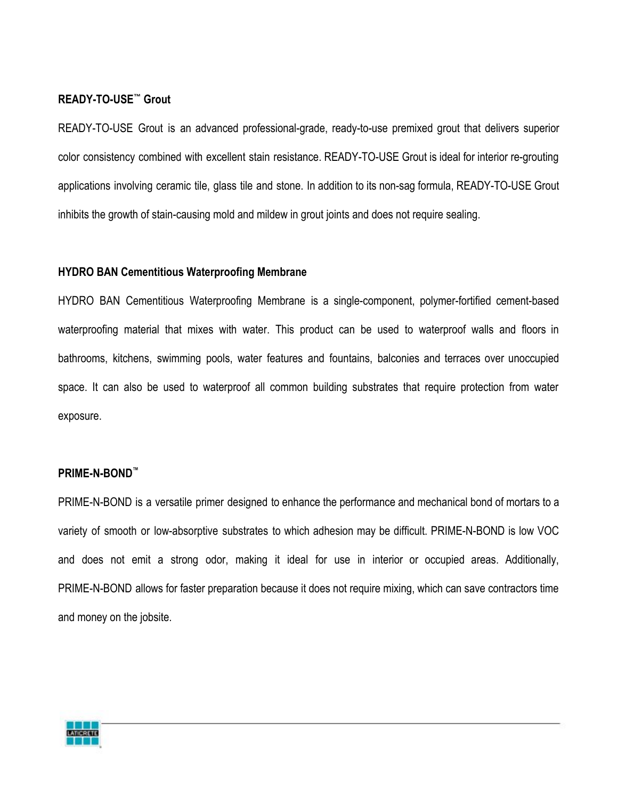### **READY-TO-USE™ Grout**

READY-TO-USE Grout is an advanced professional-grade, ready-to-use premixed grout that delivers superior color consistency combined with excellent stain resistance. READY-TO-USE Grout is ideal for interior re-grouting applications involving ceramic tile, glass tile and stone. In addition to its non-sag formula, READY-TO-USE Grout inhibits the growth of stain-causing mold and mildew in grout joints and does not require sealing.

### **HYDRO BAN Cementitious Waterproofing Membrane**

HYDRO BAN Cementitious Waterproofing Membrane is a single-component, polymer-fortified cement-based waterproofing material that mixes with water. This product can be used to waterproof walls and floors in bathrooms, kitchens, swimming pools, water features and fountains, balconies and terraces over unoccupied space. It can also be used to waterproof all common building substrates that require protection from water exposure.

### **PRIME-N-BOND™**

PRIME-N-BOND is a versatile primer designed to enhance the performance and mechanical bond of mortars to a variety of smooth or low-absorptive substrates to which adhesion may be difficult. PRIME-N-BOND is low VOC and does not emit a strong odor, making it ideal for use in interior or occupied areas. Additionally, PRIME-N-BOND allows for faster preparation because it does not require mixing, which can save contractors time and money on the jobsite.

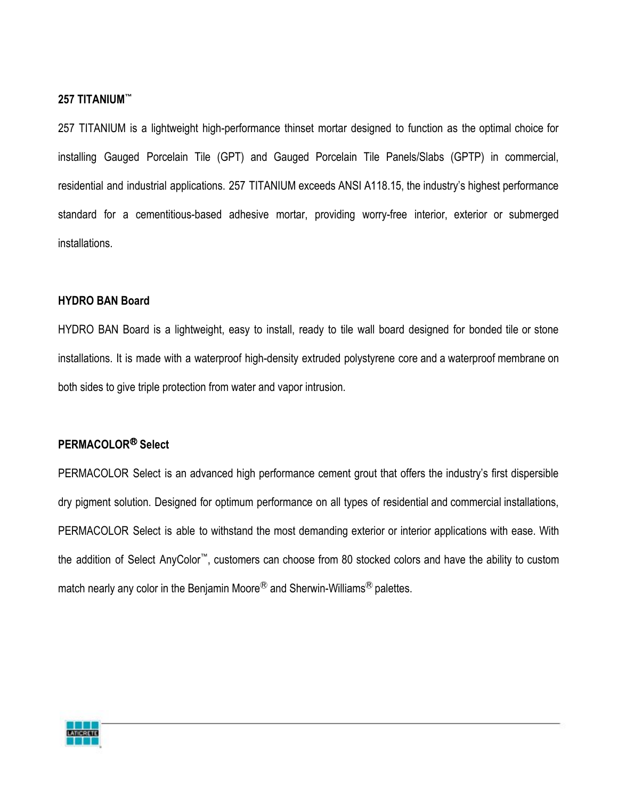### **257 TITANIUM™**

257 TITANIUM is a lightweight high-performance thinset mortar designed to function as the optimal choice for installing Gauged Porcelain Tile (GPT) and Gauged Porcelain Tile Panels/Slabs (GPTP) in commercial, residential and industrial applications. 257 TITANIUM exceeds ANSI A118.15, the industry's highest performance standard for a cementitious-based adhesive mortar, providing worry-free interior, exterior or submerged installations.

### **HYDRO BAN Board**

HYDRO BAN Board is a lightweight, easy to install, ready to tile wall board designed for bonded tile or stone installations. It is made with a waterproof high-density extruded polystyrene core and a waterproof membrane on both sides to give triple protection from water and vapor intrusion.

### **PERMACOLOR**Ⓡ **Select**

PERMACOLOR Select is an advanced high performance cement grout that offers the industry's first dispersible dry pigment solution. Designed for optimum performance on all types of residential and commercial installations, PERMACOLOR Select is able to withstand the most demanding exterior or interior applications with ease. With the addition of Select AnyColor™, customers can choose from 80 stocked colors and have the ability to custom match nearly any color in the Benjamin Moore<sup>®</sup> and Sherwin-Williams<sup>®</sup> palettes.

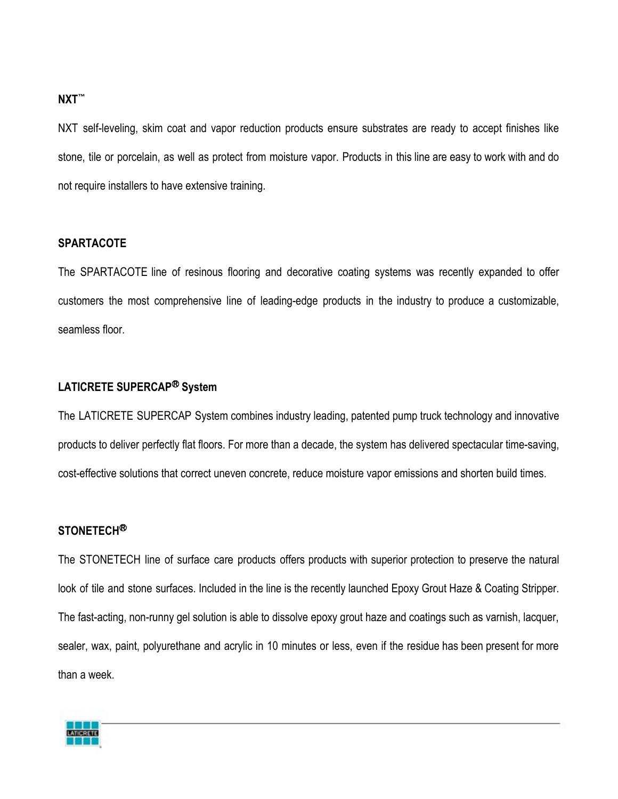#### **NXT™**

NXT self-leveling, skim coat and vapor reduction products ensure substrates are ready to accept finishes like stone, tile or porcelain, as well as protect from moisture vapor. Products in this line are easy to work with and do not require installers to have extensive training.

### **SPARTACOTE**

The SPARTACOTE line of resinous flooring and decorative coating systems was recently expanded to offer customers the most comprehensive line of leading-edge products in the industry to produce a customizable, seamless floor.

### **LATICRETE SUPERCAP**Ⓡ **System**

The LATICRETE SUPERCAP System combines industry leading, patented pump truck technology and innovative products to deliver perfectly flat floors. For more than a decade, the system has delivered spectacular time-saving, cost-effective solutions that correct uneven concrete, reduce moisture vapor emissions and shorten build times.

### **STONETECH**Ⓡ

The STONETECH line of surface care products offers products with superior protection to preserve the natural look of tile and stone surfaces. Included in the line is the recently launched Epoxy Grout Haze & Coating Stripper. The fast-acting, non-runny gel solution is able to dissolve epoxy grout haze and coatings such as varnish, lacquer, sealer, wax, paint, polyurethane and acrylic in 10 minutes or less, even if the residue has been present for more than a week.